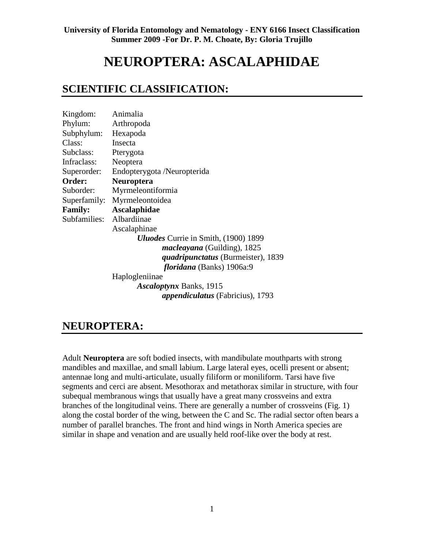# **NEUROPTERA: ASCALAPHIDAE**

### **SCIENTIFIC CLASSIFICATION:**

| Kingdom:       | Animalia                                    |
|----------------|---------------------------------------------|
| Phylum:        | Arthropoda                                  |
| Subphylum:     | Hexapoda                                    |
| Class:         | Insecta                                     |
| Subclass:      | Pterygota                                   |
| Infraclass:    | Neoptera                                    |
| Superorder:    | Endopterygota /Neuropterida                 |
| Order:         | Neuroptera                                  |
| Suborder:      | Myrmeleontiformia                           |
| Superfamily:   | Myrmeleontoidea                             |
| <b>Family:</b> | <b>Ascalaphidae</b>                         |
| Subfamilies:   | Albardiinae                                 |
|                | Ascalaphinae                                |
|                | <b>Uluodes</b> Currie in Smith, (1900) 1899 |
|                | <i>macleayana</i> (Guilding), 1825          |
|                | <i>quadripunctatus</i> (Burmeister), 1839   |
|                | <i>floridana</i> (Banks) 1906a:9            |
|                | Haplogleniinae                              |
|                | <i>Ascaloptynx</i> Banks, 1915              |
|                | <i>appendiculatus</i> (Fabricius), 1793     |

### **NEUROPTERA:**

Adult **Neuroptera** are soft bodied insects, with mandibulate mouthparts with strong mandibles and maxillae, and small labium. Large lateral eyes, ocelli present or absent; antennae long and multi-articulate, usually filiform or moniliform. Tarsi have five segments and cerci are absent. Mesothorax and metathorax similar in structure, with four subequal membranous wings that usually have a great many crossveins and extra branches of the longitudinal veins. There are generally a number of crossveins (Fig. 1) along the costal border of the wing, between the C and Sc. The radial sector often bears a number of parallel branches. The front and hind wings in North America species are similar in shape and venation and are usually held roof-like over the body at rest.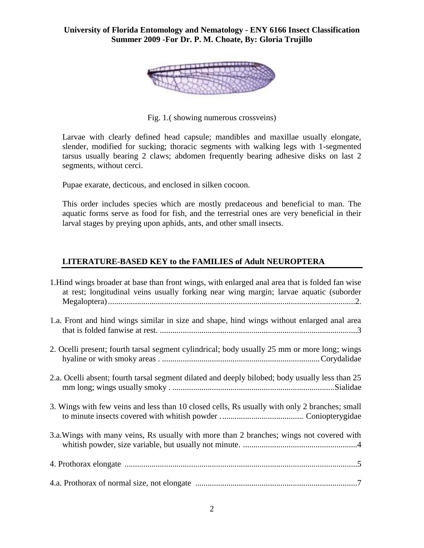

Fig. 1.( showing numerous crossveins)

Larvae with clearly defined head capsule; mandibles and maxillae usually elongate, slender, modified for sucking; thoracic segments with walking legs with 1-segmented tarsus usually bearing 2 claws; abdomen frequently bearing adhesive disks on last 2 segments, without cerci.

Pupae exarate, decticous, and enclosed in silken cocoon.

This order includes species which are mostly predaceous and beneficial to man. The aquatic forms serve as food for fish, and the terrestrial ones are very beneficial in their larval stages by preying upon aphids, ants, and other small insects.

#### **LITERATURE-BASED KEY to the FAMILIES of Adult NEUROPTERA**

| 1. Hind wings broader at base than front wings, with enlarged anal area that is folded fan wise<br>at rest; longitudinal veins usually forking near wing margin; larvae aquatic (suborder |
|-------------------------------------------------------------------------------------------------------------------------------------------------------------------------------------------|
| 1.a. Front and hind wings similar in size and shape, hind wings without enlarged anal area                                                                                                |
| 2. Ocelli present; fourth tarsal segment cylindrical; body usually 25 mm or more long; wings                                                                                              |
| 2.a. Ocelli absent; fourth tarsal segment dilated and deeply bilobed; body usually less than 25                                                                                           |
| 3. Wings with few veins and less than 10 closed cells, Rs usually with only 2 branches; small                                                                                             |
| 3.a. Wings with many veins, Rs usually with more than 2 branches; wings not covered with                                                                                                  |
|                                                                                                                                                                                           |
|                                                                                                                                                                                           |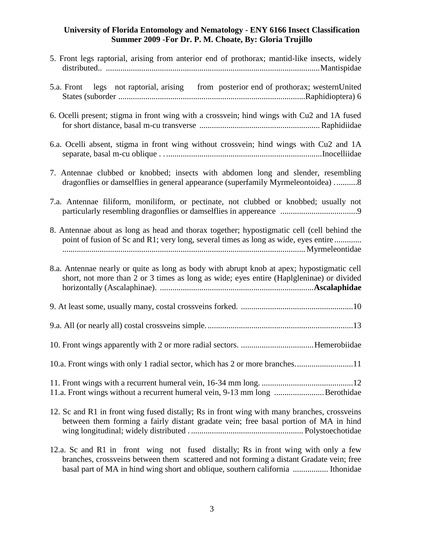| 5. Front legs raptorial, arising from anterior end of prothorax; mantid-like insects, widely                                                                                           |
|----------------------------------------------------------------------------------------------------------------------------------------------------------------------------------------|
| 5.a. Front legs not raptorial, arising from posterior end of prothorax; westernUnited                                                                                                  |
| 6. Ocelli present; stigma in front wing with a crossvein; hind wings with Cu2 and 1A fused                                                                                             |
| 6.a. Ocelli absent, stigma in front wing without crossvein; hind wings with Cu2 and 1A                                                                                                 |
| 7. Antennae clubbed or knobbed; insects with abdomen long and slender, resembling<br>dragonflies or damselflies in general appearance (superfamily Myrmeleontoidea) 8                  |
| 7.a. Antennae filiform, moniliform, or pectinate, not clubbed or knobbed; usually not                                                                                                  |
| 8. Antennae about as long as head and thorax together; hypostigmatic cell (cell behind the<br>point of fusion of Sc and R1; very long, several times as long as wide, eyes entire      |
| 8.a. Antennae nearly or quite as long as body with abrupt knob at apex; hypostigmatic cell<br>short, not more than 2 or 3 times as long as wide; eyes entire (Haplgleninae) or divided |
|                                                                                                                                                                                        |
|                                                                                                                                                                                        |
|                                                                                                                                                                                        |
| 10.a. Front wings with only 1 radial sector, which has 2 or more branches<br>11                                                                                                        |
| 11.a. Front wings without a recurrent humeral vein, 9-13 mm long Berothidae                                                                                                            |
| 12. Sc and R1 in front wing fused distally; Rs in front wing with many branches, crossveins<br>between them forming a fairly distant gradate vein; free basal portion of MA in hind    |

12.a. Sc and R1 in front wing not fused distally; Rs in front wing with only a few branches, crossveins between them scattered and not forming a distant Gradate vein; free basal part of MA in hind wing short and oblique, southern california ................. Ithonidae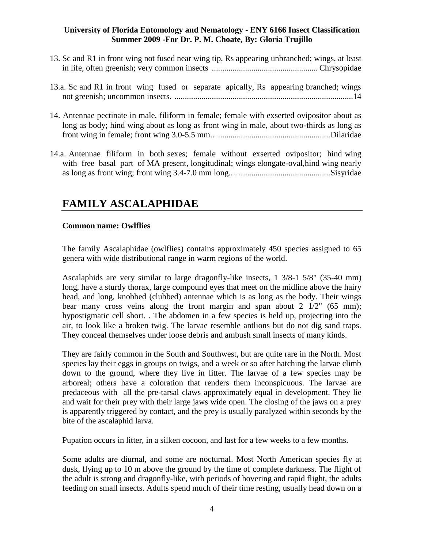- 13. Sc and R1 in front wing not fused near wing tip, Rs appearing unbranched; wings, at least in life, often greenish; very common insects ................................................... Chrysopidae
- 13.a. Sc and R1 in front wing fused or separate apically, Rs appearing branched; wings not greenish; uncommon insects. ......................................................................................14
- 14. Antennae pectinate in male, filiform in female; female with exserted ovipositor about as long as body; hind wing about as long as front wing in male, about two-thirds as long as front wing in female; front wing 3.0-5.5 mm.. ......................................................Dilaridae
- 14.a. Antennae filiform in both sexes; female without exserted ovipositor; hind wing with free basal part of MA present, longitudinal; wings elongate-oval,hind wing nearly as long as front wing; front wing 3.4-7.0 mm long.. . ............................................Sisyridae

## **FAMILY ASCALAPHIDAE**

#### **Common name: Owlflies**

The family Ascalaphidae (owlflies) contains approximately 450 species assigned to 65 genera with wide distributional range in warm regions of the world.

Ascalaphids are very similar to large dragonfly-like insects, 1 3/8-1 5/8" (35-40 mm) long, have a sturdy thorax, large compound eyes that meet on the midline above the hairy head, and long, knobbed (clubbed) antennae which is as long as the body. Their wings bear many cross veins along the front margin and span about  $2 \frac{1}{2}$  (65 mm); hypostigmatic cell short. . The abdomen in a few species is held up, projecting into the air, to look like a broken twig. The larvae resemble antlions but do not dig sand traps. They conceal themselves under loose debris and ambush small insects of many kinds.

They are fairly common in the South and Southwest, but are quite rare in the North. Most species lay their eggs in groups on twigs, and a week or so after hatching the larvae climb down to the ground, where they live in litter. The larvae of a few species may be arboreal; others have a coloration that renders them inconspicuous. The larvae are predaceous with all the pre-tarsal claws approximately equal in development. They lie and wait for their prey with their large jaws wide open. The closing of the jaws on a prey is apparently triggered by contact, and the prey is usually paralyzed within seconds by the bite of the ascalaphid larva.

Pupation occurs in litter, in a silken cocoon, and last for a few weeks to a few months.

Some adults are diurnal, and some are nocturnal. Most North American species fly at dusk, flying up to 10 m above the ground by the time of complete darkness. The flight of the adult is strong and dragonfly-like, with periods of hovering and rapid flight, the adults feeding on small insects. Adults spend much of their time resting, usually head down on a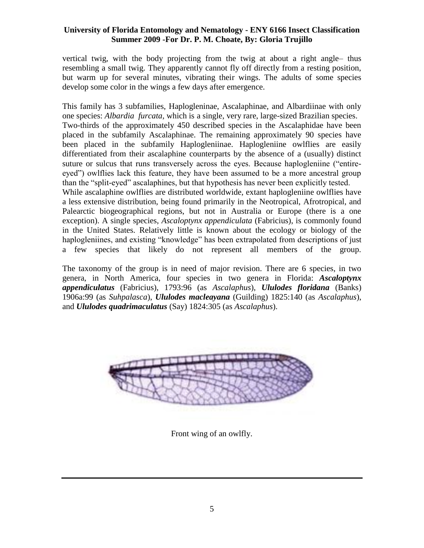vertical twig, with the body projecting from the twig at about a right angle– thus resembling a small twig. They apparently cannot fly off directly from a resting position, but warm up for several minutes, vibrating their wings. The adults of some species develop some color in the wings a few days after emergence.

This family has 3 subfamilies, Haplogleninae, Ascalaphinae, and Albardiinae with only one species: *[Albardia furcata,](http://en.wikipedia.org/w/index.php?title=Albardia_furcata&action=edit&redlink=1)* which is a single, very rare, large-sized Brazilian species. Two-thirds of the approximately 450 described species in the Ascalaphidae have been placed in the subfamily Ascalaphinae. The remaining approximately 90 species have been placed in the subfamily Haplogleniinae. Haplogleniine owlflies are easily differentiated from their ascalaphine counterparts by the absence of a (usually) distinct suture or sulcus that runs transversely across the eyes. Because haplogleniine ("entireeyed") owlflies lack this feature, they have been assumed to be a more ancestral group than the "split-eyed" ascalaphines, but that hypothesis has never been explicitly tested.

While ascalaphine owlflies are distributed worldwide, extant haplogleniine owlflies have a less extensive distribution, being found primarily in the Neotropical, Afrotropical, and Palearctic biogeographical regions, but not in Australia or Europe (there is a one exception). A single species, *Ascaloptynx appendiculata* (Fabricius), is commonly found in the United States. Relatively little is known about the ecology or biology of the haplogleniines, and existing "knowledge" has been extrapolated from descriptions of just a few species that likely do not represent all members of the group.

The taxonomy of the group is in need of major revision. There are 6 species, in two genera, in North America, four species in two genera in Florida: *Ascaloptynx appendiculatus* (Fabricius), 1793:96 (as *Ascalaphus*), *Ululodes floridana* (Banks) 1906a:99 (as *Suhpalasca*), *Ululodes macleayana* (Guilding) 1825:140 (as *Ascalaphus*), and *Ululodes quadrimaculatus* (Say) 1824:305 (as *Ascalaphus*).



Front wing of an owlfly.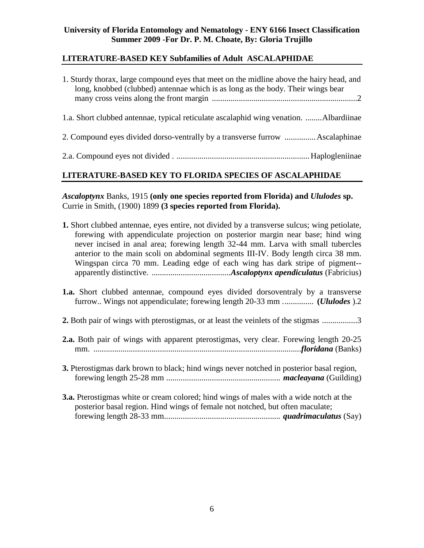#### **LITERATURE-BASED KEY Subfamilies of Adult ASCALAPHIDAE**

| 1. Sturdy thorax, large compound eyes that meet on the midline above the hairy head, and<br>long, knobbed (clubbed) antennae which is as long as the body. Their wings bear |
|-----------------------------------------------------------------------------------------------------------------------------------------------------------------------------|
| 1.a. Short clubbed antennae, typical reticulate ascalaphid wing venation. Albardiinae                                                                                       |
| 2. Compound eyes divided dorso-ventrally by a transverse furrow  Ascalaphinae                                                                                               |
|                                                                                                                                                                             |

#### **LITERATURE-BASED KEY TO FLORIDA SPECIES OF ASCALAPHIDAE**

*Ascaloptynx* Banks, 1915 **(only one species reported from Florida) and** *Ululodes* **sp.**  Currie in Smith, (1900) 1899 **(3 species reported from Florida).**

- **1.** Short clubbed antennae, eyes entire, not divided by a transverse sulcus; wing petiolate, forewing with appendiculate projection on posterior margin near base; hind wing never incised in anal area; forewing length 32-44 mm. Larva with small tubercles anterior to the main scoli on abdominal segments III-IV. Body length circa 38 mm. Wingspan circa 70 mm. Leading edge of each wing has dark stripe of pigment- apparently distinctive. ......................................*Ascaloptynx apendiculatus* (Fabricius)
- **1.a.** Short clubbed antennae, compound eyes divided dorsoventraly by a transverse furrow.. Wings not appendiculate; forewing length 20-33 mm ............... **(***Ululodes* ).2
- **2.** Both pair of wings with pterostigmas, or at least the veinlets of the stigmas .................3
- **2.a.** Both pair of wings with apparent pterostigmas, very clear. Forewing length 20-25 mm. ....................................................................................................*floridana* (Banks)
- **3.** Pterostigmas dark brown to black; hind wings never notched in posterior basal region, forewing length 25-28 mm ....................................................... *macleayana* (Guilding)
- **3.a.** Pterostigmas white or cream colored; hind wings of males with a wide notch at the posterior basal region. Hind wings of female not notched, but often maculate; forewing length 28-33 mm........................................................ *quadrimaculatus* (Say)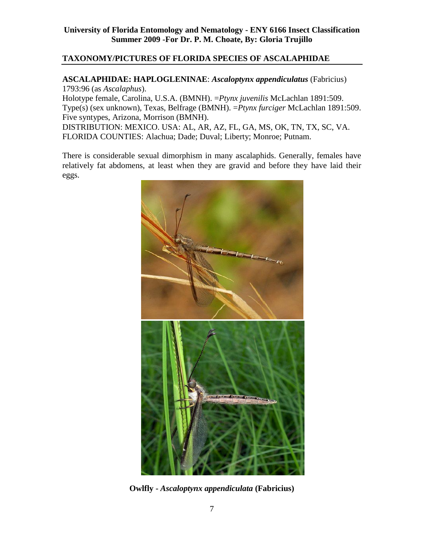#### **TAXONOMY/PICTURES OF FLORIDA SPECIES OF ASCALAPHIDAE**

#### **ASCALAPHIDAE: HAPLOGLENINAE**: *Ascaloptynx appendiculatus* (Fabricius) 1793:96 (as *Ascalaphus*).

Holotype female, Carolina, U.S.A. (BMNH). =*Ptynx juvenilis* McLachlan 1891:509. Type(s) (sex unknown), Texas, Belfrage (BMNH). =*Ptynx furciger* McLachlan 1891:509. Five syntypes, Arizona, Morrison (BMNH). DISTRIBUTION: MEXICO. USA: AL, AR, AZ, FL, GA, MS, OK, TN, TX, SC, VA. FLORIDA COUNTIES: Alachua; Dade; Duval; Liberty; Monroe; Putnam.

There is considerable sexual dimorphism in many ascalaphids. Generally, females have relatively fat abdomens, at least when they are gravid and before they have laid their eggs.



**Owlfly -** *Ascaloptynx appendiculata* **(Fabricius)**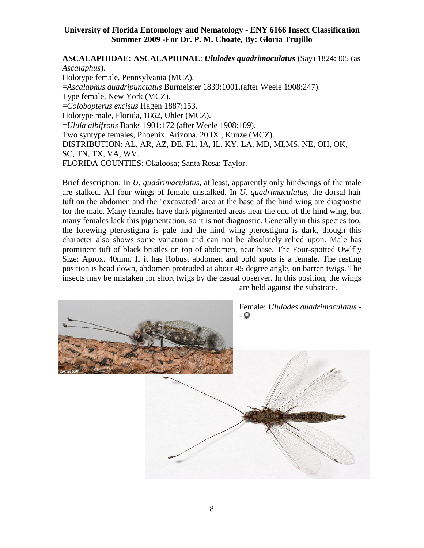#### **ASCALAPHIDAE: ASCALAPHINAE**: *Ululodes quadrimaculatus* (Say) 1824:305 (as *Ascalaphus*). Holotype female, Pennsylvania (MCZ). =*Ascalaphus quadripunctatus* Burmeister 1839:1001.(after Weele 1908:247). Type female, New York (MCZ). =*Colobopterus excisus* Hagen 1887:153. Holotype male, Florida, 1862, Uhler (MCZ).

=*Ulula albifrons* Banks 1901:172 (after Weele 1908:109). Two syntype females, Phoenix, Arizona, 20.IX., Kunze (MCZ). DISTRIBUTION: AL, AR, AZ, DE, FL, IA, IL, KY, LA, MD, MI,MS, NE, OH, OK, SC, TN, TX, VA, WV. FLORIDA COUNTIES: Okaloosa; Santa Rosa; Taylor.

Brief description: In *U. quadrimaculatus*, at least, apparently only hindwings of the male are stalked. All four wings of female unstalked. In *U. quadrimaculatus*, the dorsal hair tuft on the abdomen and the "excavated" area at the base of the hind wing are diagnostic for the male. Many females have dark pigmented areas near the end of the hind wing, but many females lack this pigmentation, so it is not diagnostic. Generally in this species too, the forewing pterostigma is pale and the hind wing pterostigma is dark, though this character also shows some variation and can not be absolutely relied upon. Male has prominent tuft of black bristles on top of abdomen, near base. The Four-spotted Owlfly Size: Aprox. 40mm. If it has Robust abdomen and bold spots is a female. The resting position is head down, abdomen protruded at about 45 degree angle, on barren twigs. The insects may be mistaken for short twigs by the casual observer. In this position, the wings are held against the substrate.

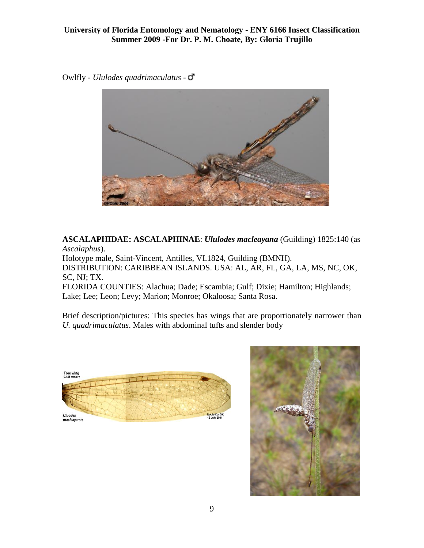Owlfly - *Ululodes quadrimaculatus* -



**ASCALAPHIDAE: ASCALAPHINAE**: *Ululodes macleayana* (Guilding) 1825:140 (as *Ascalaphus*). Holotype male, Saint-Vincent, Antilles, VI.1824, Guilding (BMNH). DISTRIBUTION: CARIBBEAN ISLANDS. USA: AL, AR, FL, GA, LA, MS, NC, OK, SC, NJ; TX. FLORIDA COUNTIES: Alachua; Dade; Escambia; Gulf; Dixie; Hamilton; Highlands; Lake; Lee; Leon; Levy; Marion; Monroe; Okaloosa; Santa Rosa.

Brief description/pictures: This species has wings that are proportionately narrower than *U. quadrimaculatus*. Males with abdominal tufts and slender body



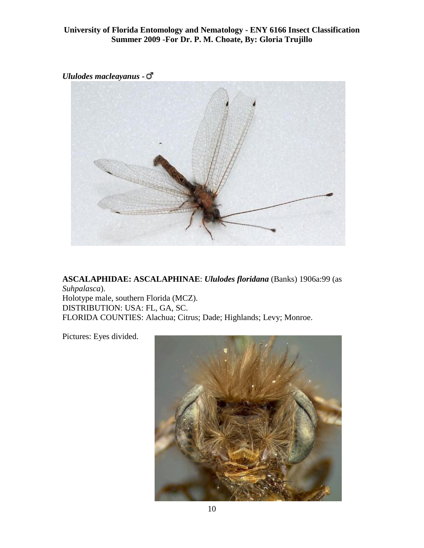*Ululodes macleayanus* **-**



**ASCALAPHIDAE: ASCALAPHINAE**: *Ululodes floridana* (Banks) 1906a:99 (as *Suhpalasca*). Holotype male, southern Florida (MCZ). DISTRIBUTION: USA: FL, GA, SC. FLORIDA COUNTIES: Alachua; Citrus; Dade; Highlands; Levy; Monroe.

Pictures: Eyes divided.

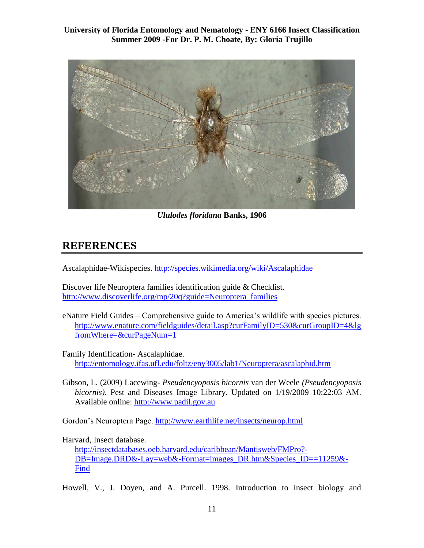

*Ululodes floridana* **[Banks, 1906](http://insectdatabases.oeb.harvard.edu/caribbean/Mantisweb/FMPro?-DB=Image.fm&-Lay=web&-Format=images.htm&Species_ID=11259&-Find)**

### **REFERENCES**

Ascalaphidae-Wikispecies. <http://species.wikimedia.org/wiki/Ascalaphidae>

Discover life Neuroptera families identification guide & Checklist. [http://www.discoverlife.org/mp/20q?guide=Neuroptera\\_families](http://www.discoverlife.org/mp/20q?guide=Neuroptera_families)

eNature Field Guides – Comprehensive guide to America's wildlife with species pictures. http://www.enature.com/fieldguides/detail.asp?curFamilyID=530&curGroupID=4&lg fromWhere=&curPageNum=1

Family Identification- Ascalaphidae. <http://entomology.ifas.ufl.edu/foltz/eny3005/lab1/Neuroptera/ascalaphid.htm>

Gibson, L. (2009) Lacewing- *Pseudencyoposis bicornis* van der Weele *(Pseudencyoposis bicornis).* Pest and Diseases Image Library. Updated on 1/19/2009 10:22:03 AM. Available online: [http://www.padil.gov.au](http://www.padil.gov.au/)

Gordon's Neuroptera Page. <http://www.earthlife.net/insects/neurop.html>

Harvard, Insect database.

[http://insectdatabases.oeb.harvard.edu/caribbean/Mantisweb/FMPro?-](http://insectdatabases.oeb.harvard.edu/caribbean/Mantisweb/FMPro?-DB=Image.DRD&-Lay=web&-Format=images_DR.htm&Species_ID==11259&-Find) [DB=Image.DRD&-Lay=web&-Format=images\\_DR.htm&Species\\_ID==11259&-](http://insectdatabases.oeb.harvard.edu/caribbean/Mantisweb/FMPro?-DB=Image.DRD&-Lay=web&-Format=images_DR.htm&Species_ID==11259&-Find) [Find](http://insectdatabases.oeb.harvard.edu/caribbean/Mantisweb/FMPro?-DB=Image.DRD&-Lay=web&-Format=images_DR.htm&Species_ID==11259&-Find)

Howell, V., J. Doyen, and A. Purcell. 1998. Introduction to insect biology and